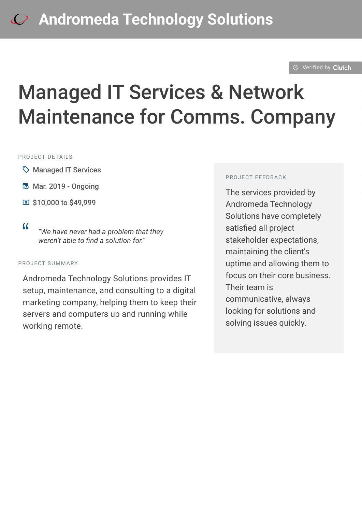#### $\otimes$  [Verified by](https://clutch.co?utm_source=case_studies&utm_medium=verified_by_clutch) Clutch

# Managed IT Services & Network Maintenance for Comms. Company

#### PROJECT DETAILS

- $\heartsuit$  Managed IT Services
- B Mar. 2019 Ongoing
- C \$10,000 to \$49,999
- 

<sup>D</sup> *"We have never had a problem that they weren't able to find a solution for."*

#### PROJECT SUMMARY

Andromeda Technology Solutions provides IT setup, maintenance, and consulting to a digital marketing company, helping them to keep their servers and computers up and running while working remote.

#### PROJECT FEEDBACK

The services provided by Andromeda Technology Solutions have completely satisfied all project stakeholder expectations, maintaining the client's uptime and allowing them to focus on their core business. Their team is communicative, always looking for solutions and solving issues quickly.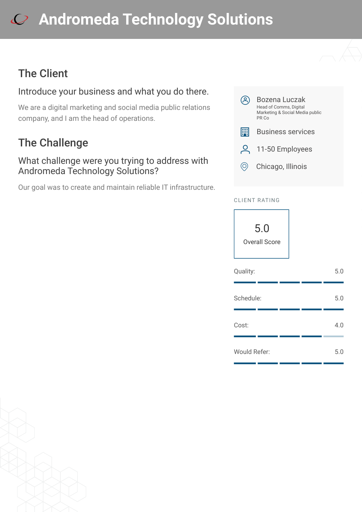## The Client

### Introduce your business and what you do there.

We are a digital marketing and social media public relations company, and I am the head of operations.

## The Challenge

#### What challenge were you trying to address with Andromeda Technology Solutions?

Our goal was to create and maintain reliable IT infrastructure.



#### CLIENT RATING



| Quality:     | 5.0 |
|--------------|-----|
| Schedule:    | 5.0 |
| Cost:        | 4.0 |
| Would Refer: | 5.0 |

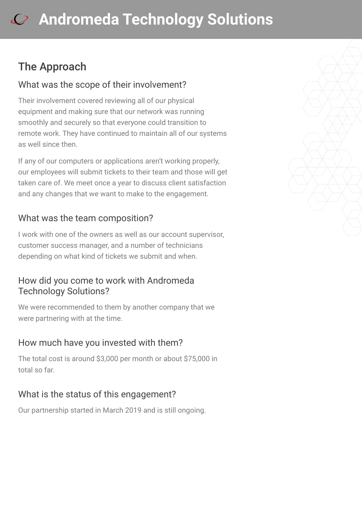## The Approach

#### What was the scope of their involvement?

Their involvement covered reviewing all of our physical equipment and making sure that our network was running smoothly and securely so that everyone could transition to remote work. They have continued to maintain all of our systems as well since then.

If any of our computers or applications aren't working properly, our employees will submit tickets to their team and those will get taken care of. We meet once a year to discuss client satisfaction and any changes that we want to make to the engagement.

#### What was the team composition?

I work with one of the owners as well as our account supervisor, customer success manager, and a number of technicians depending on what kind of tickets we submit and when.

#### How did you come to work with Andromeda Technology Solutions?

We were recommended to them by another company that we were partnering with at the time.

#### How much have you invested with them?

The total cost is around \$3,000 per month or about \$75,000 in total so far.

### What is the status of this engagement?

Our partnership started in March 2019 and is still ongoing.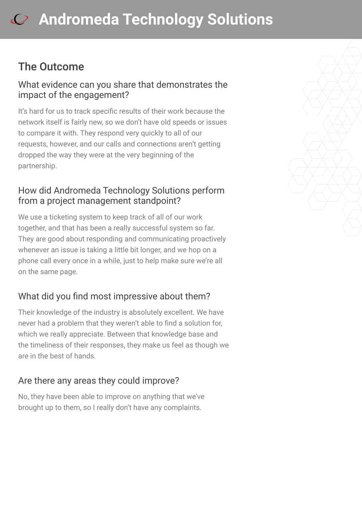## The Outcome

#### What evidence can you share that demonstrates the impact of the engagement?

It's hard for us to track specific results of their work because the network itself is fairly new, so we don't have old speeds or issues to compare it with. They respond very quickly to all of our requests, however, and our calls and connections aren't getting dropped the way they were at the very beginning of the partnership.

### How did Andromeda Technology Solutions perform from a project management standpoint?

We use a ticketing system to keep track of all of our work together, and that has been a really successful system so far. They are good about responding and communicating proactively whenever an issue is taking a little bit longer, and we hop on a phone call every once in a while, just to help make sure we're all on the same page.

### What did you find most impressive about them?

Their knowledge of the industry is absolutely excellent. We have never had a problem that they weren't able to find a solution for, which we really appreciate. Between that knowledge base and the timeliness of their responses, they make us feel as though we are in the best of hands.

### Are there any areas they could improve?

No, they have been able to improve on anything that we've brought up to them, so I really don't have any complaints.